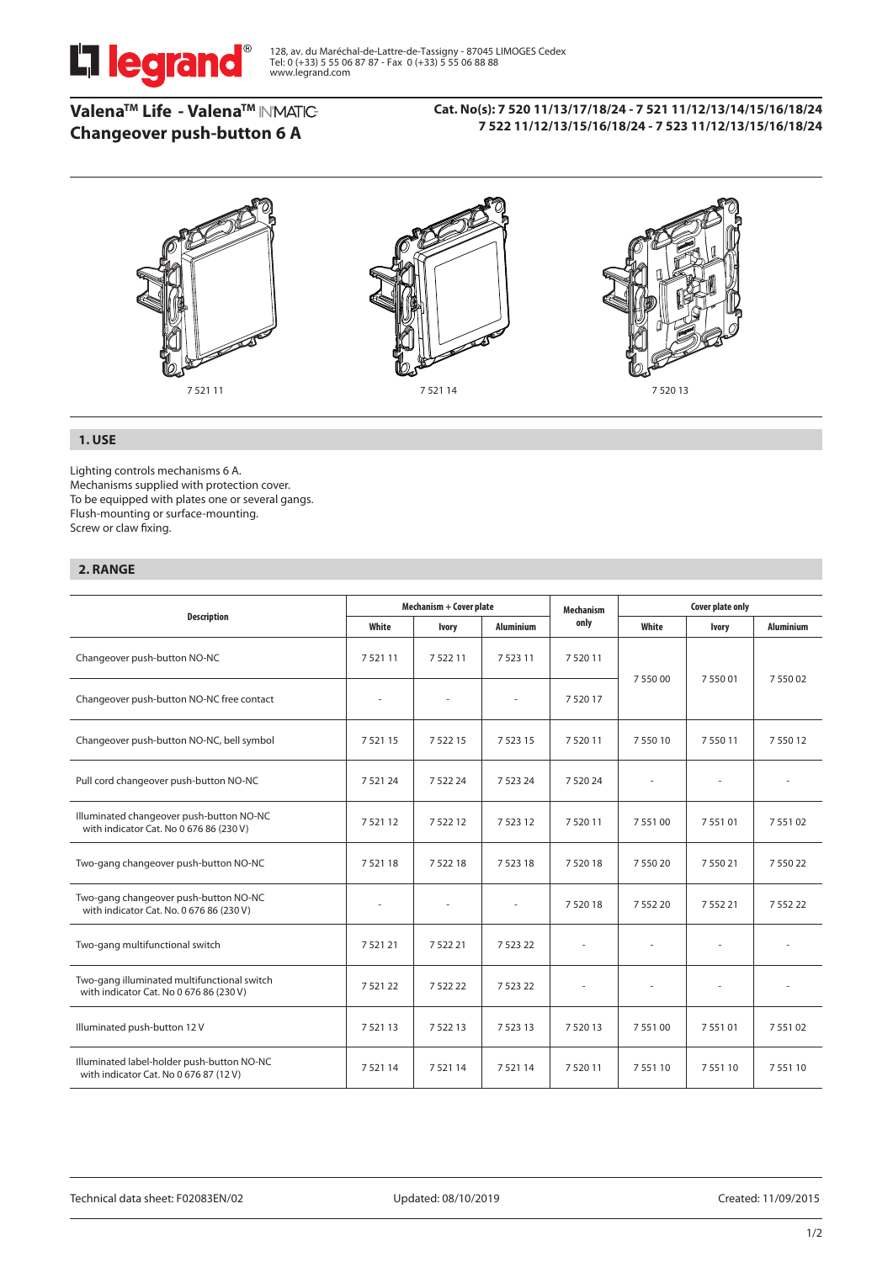

# **ValenaTM Life - ValenaTM Changeover push-button 6 A**

### **Cat. No(s): 7 520 11/13/17/18/24 - 7 521 11/12/13/14/15/16/18/24 7 522 11/12/13/15/16/18/24 - 7 523 11/12/13/15/16/18/24**



# **1. USE**

Lighting controls mechanisms 6 A. Mechanisms supplied with protection cover. To be equipped with plates one or several gangs. Flush-mounting or surface-mounting. Screw or claw fixing.

# **2. RANGE**

|                                                                                        | Mechanism + Cover plate |              |                  | <b>Mechanism</b> | Cover plate only |              |                  |
|----------------------------------------------------------------------------------------|-------------------------|--------------|------------------|------------------|------------------|--------------|------------------|
| <b>Description</b>                                                                     | White                   | <b>Ivory</b> | <b>Aluminium</b> | only             | White            | <b>Ivory</b> | <b>Aluminium</b> |
| Changeover push-button NO-NC                                                           | 752111                  | 752211       | 7 5 2 3 1 1      | 7 5 20 11        | 7 550 00         | 755001       | 7 550 02         |
| Changeover push-button NO-NC free contact                                              |                         |              |                  | 7 5 20 17        |                  |              |                  |
| Changeover push-button NO-NC, bell symbol                                              | 7 5 21 15               | 7 5 2 2 1 5  | 7 5 2 3 1 5      | 7 5 20 11        | 7 5 5 0 1 0      | 7 5 5 0 1 1  | 7 5 5 0 1 2      |
| Pull cord changeover push-button NO-NC                                                 | 7 5 21 24               | 7 5 2 2 2 4  | 7 5 2 3 2 4      | 7 5 20 24        |                  | ×.           |                  |
| Illuminated changeover push-button NO-NC<br>with indicator Cat. No 0 676 86 (230 V)    | 7 5 21 12               | 7 5 2 2 1 2  | 7 5 2 3 1 2      | 7 5 20 11        | 7 5 5 1 0 0      | 7 5 5 1 0 1  | 7 5 5 1 0 2      |
| Two-gang changeover push-button NO-NC                                                  | 752118                  | 752218       | 752318           | 752018           | 7 550 20         | 7 550 21     | 755022           |
| Two-gang changeover push-button NO-NC<br>with indicator Cat. No. 0 676 86 (230 V)      | ٠                       |              |                  | 7 5 20 18        | 7 5 5 2 2 0      | 7 5 5 2 2 1  | 7 5 5 2 2 2      |
| Two-gang multifunctional switch                                                        | 7 5 21 21               | 7 5 2 2 2 1  | 7 5 2 3 2 2      |                  |                  |              |                  |
| Two-gang illuminated multifunctional switch<br>with indicator Cat. No 0 676 86 (230 V) | 752122                  | 752222       | 7 5 2 3 2 2      |                  |                  | ٠            |                  |
| Illuminated push-button 12 V                                                           | 752113                  | 752213       | 7 5 2 3 1 3      | 7 5 20 13        | 755100           | 755101       | 755102           |
| Illuminated label-holder push-button NO-NC<br>with indicator Cat. No 0 676 87 (12 V)   | 752114                  | 752114       | 752114           | 752011           | 755110           | 755110       | 755110           |